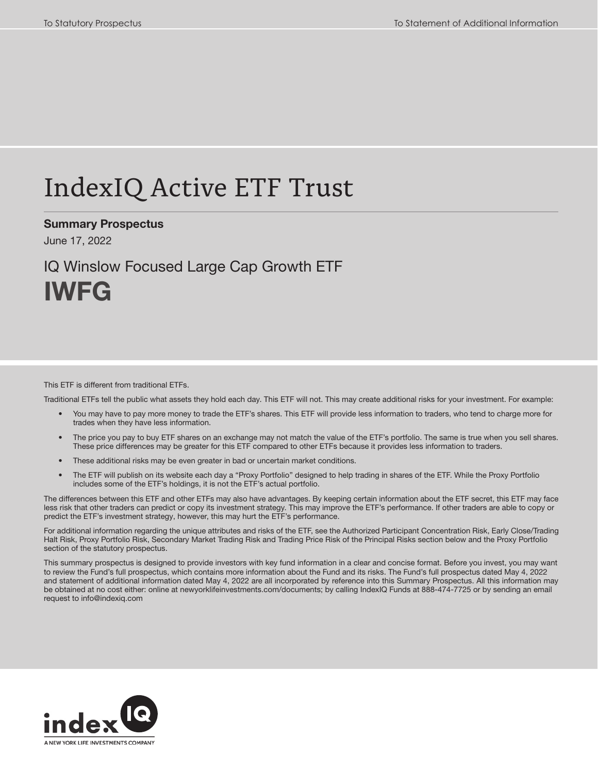# IndexIQ Active ETF Trust

Summary Prospectus

June 17, 2022

## IQ Winslow Focused Large Cap Growth ETF IWFG

#### This ETF is different from traditional ETFs.

Traditional ETFs tell the public what assets they hold each day. This ETF will not. This may create additional risks for your investment. For example:

- You may have to pay more money to trade the ETF's shares. This ETF will provide less information to traders, who tend to charge more for trades when they have less information.
- The price you pay to buy ETF shares on an exchange may not match the value of the ETF's portfolio. The same is true when you sell shares. These price differences may be greater for this ETF compared to other ETFs because it provides less information to traders.
- These additional risks may be even greater in bad or uncertain market conditions.
- The ETF will publish on its website each day a "Proxy Portfolio" designed to help trading in shares of the ETF. While the Proxy Portfolio includes some of the ETF's holdings, it is not the ETF's actual portfolio.

The differences between this ETF and other ETFs may also have advantages. By keeping certain information about the ETF secret, this ETF may face less risk that other traders can predict or copy its investment strategy. This may improve the ETF's performance. If other traders are able to copy or predict the ETF's investment strategy, however, this may hurt the ETF's performance.

For additional information regarding the unique attributes and risks of the ETF, see the Authorized Participant Concentration Risk, Early Close/Trading Halt Risk, Proxy Portfolio Risk, Secondary Market Trading Risk and Trading Price Risk of the Principal Risks section below and the Proxy Portfolio section of the statutory prospectus.

This summary prospectus is designed to provide investors with key fund information in a clear and concise format. Before you invest, you may want to review the Fund's full prospectus, which contains more information about the Fund and its risks. The Fund's full prospectus dated May 4, 2022 and statement of additional information dated May 4, 2022 are all incorporated by reference into this Summary Prospectus. All this information may be obtained at no cost either: online at newyorklifeinvestments.com/documents; by calling IndexIQ Funds at 888-474-7725 or by sending an email request to info@indexiq.com

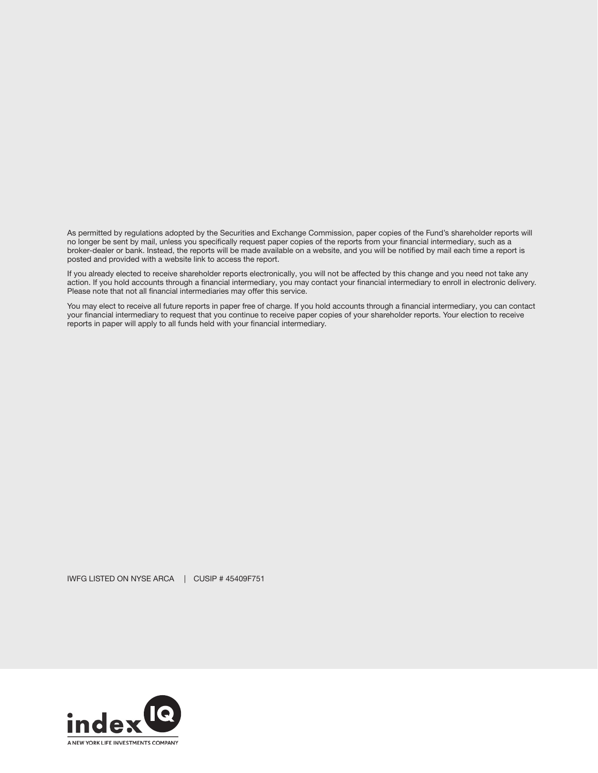As permitted by regulations adopted by the Securities and Exchange Commission, paper copies of the Fund's shareholder reports will no longer be sent by mail, unless you specifically request paper copies of the reports from your financial intermediary, such as a broker-dealer or bank. Instead, the reports will be made available on a website, and you will be notified by mail each time a report is posted and provided with a website link to access the report.

If you already elected to receive shareholder reports electronically, you will not be affected by this change and you need not take any action. If you hold accounts through a financial intermediary, you may contact your financial intermediary to enroll in electronic delivery. Please note that not all financial intermediaries may offer this service.

You may elect to receive all future reports in paper free of charge. If you hold accounts through a financial intermediary, you can contact your financial intermediary to request that you continue to receive paper copies of your shareholder reports. Your election to receive reports in paper will apply to all funds held with your financial intermediary.

IWFG LISTED ON NYSE ARCA | CUSIP # 45409F751

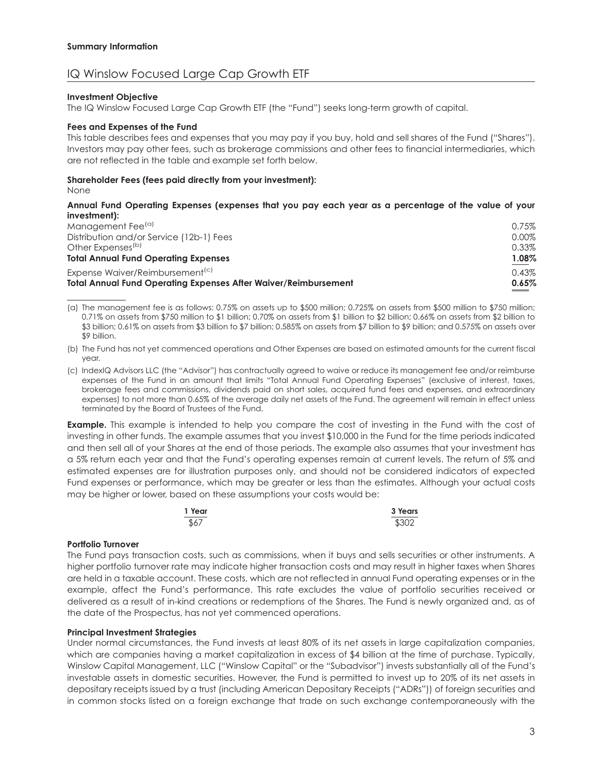### IQ Winslow Focused Large Cap Growth ETF

#### **Investment Objective**

The IQ Winslow Focused Large Cap Growth ETF (the "Fund") seeks long-term growth of capital.

#### **Fees and Expenses of the Fund**

This table describes fees and expenses that you may pay if you buy, hold and sell shares of the Fund ("Shares"). Investors may pay other fees, such as brokerage commissions and other fees to financial intermediaries, which are not reflected in the table and example set forth below.

#### **Shareholder Fees (fees paid directly from your investment):**

None

#### **Annual Fund Operating Expenses (expenses that you pay each year as a percentage of the value of your investment):**

| <b>Total Annual Fund Operating Expenses After Waiver/Reimbursement</b> | 0.65%    |
|------------------------------------------------------------------------|----------|
| Expense Waiver/Reimbursement <sup>(c)</sup>                            | 0.43%    |
| <b>Total Annual Fund Operating Expenses</b>                            | 1.08%    |
| Other Expenses <sup>(b)</sup>                                          | 0.33%    |
| Distribution and/or Service (12b-1) Fees                               | $0.00\%$ |
| Management Fee <sup>(a)</sup>                                          | 0.75%    |
|                                                                        |          |

(a) The management fee is as follows: 0.75% on assets up to \$500 million; 0.725% on assets from \$500 million to \$750 million; 0.71% on assets from \$750 million to \$1 billion; 0.70% on assets from \$1 billion to \$2 billion; 0.66% on assets from \$2 billion to \$3 billion; 0.61% on assets from \$3 billion to \$7 billion; 0.585% on assets from \$7 billion to \$9 billion; and 0.575% on assets over \$9 billion.

(b) The Fund has not yet commenced operations and Other Expenses are based on estimated amounts for the current fiscal year.

(c) IndexIQ Advisors LLC (the "Advisor") has contractually agreed to waive or reduce its management fee and/or reimburse expenses of the Fund in an amount that limits "Total Annual Fund Operating Expenses" (exclusive of interest, taxes, brokerage fees and commissions, dividends paid on short sales, acquired fund fees and expenses, and extraordinary expenses) to not more than 0.65% of the average daily net assets of the Fund. The agreement will remain in effect unless terminated by the Board of Trustees of the Fund.

**Example.** This example is intended to help you compare the cost of investing in the Fund with the cost of investing in other funds. The example assumes that you invest \$10,000 in the Fund for the time periods indicated and then sell all of your Shares at the end of those periods. The example also assumes that your investment has a 5% return each year and that the Fund's operating expenses remain at current levels. The return of 5% and estimated expenses are for illustration purposes only, and should not be considered indicators of expected Fund expenses or performance, which may be greater or less than the estimates. Although your actual costs may be higher or lower, based on these assumptions your costs would be:

| 1 Year | 3 Years |
|--------|---------|
| \$67   | \$302   |

#### **Portfolio Turnover**

The Fund pays transaction costs, such as commissions, when it buys and sells securities or other instruments. A higher portfolio turnover rate may indicate higher transaction costs and may result in higher taxes when Shares are held in a taxable account. These costs, which are not reflected in annual Fund operating expenses or in the example, affect the Fund's performance. This rate excludes the value of portfolio securities received or delivered as a result of in-kind creations or redemptions of the Shares. The Fund is newly organized and, as of the date of the Prospectus, has not yet commenced operations.

#### **Principal Investment Strategies**

Under normal circumstances, the Fund invests at least 80% of its net assets in large capitalization companies, which are companies having a market capitalization in excess of \$4 billion at the time of purchase. Typically, Winslow Capital Management, LLC ("Winslow Capital" or the "Subadvisor") invests substantially all of the Fund's investable assets in domestic securities. However, the Fund is permitted to invest up to 20% of its net assets in depositary receipts issued by a trust (including American Depositary Receipts ("ADRs")) of foreign securities and in common stocks listed on a foreign exchange that trade on such exchange contemporaneously with the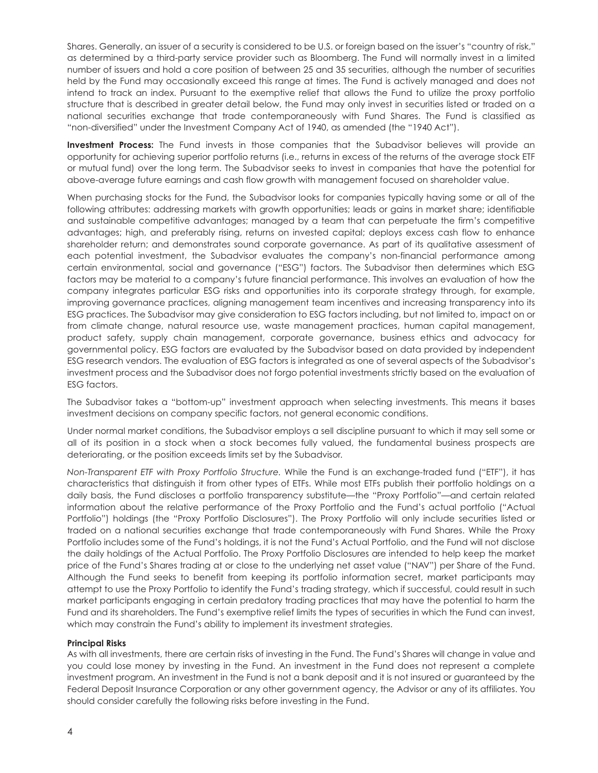Shares. Generally, an issuer of a security is considered to be U.S. or foreign based on the issuer's "country of risk," as determined by a third-party service provider such as Bloomberg. The Fund will normally invest in a limited number of issuers and hold a core position of between 25 and 35 securities, although the number of securities held by the Fund may occasionally exceed this range at times. The Fund is actively managed and does not intend to track an index. Pursuant to the exemptive relief that allows the Fund to utilize the proxy portfolio structure that is described in greater detail below, the Fund may only invest in securities listed or traded on a national securities exchange that trade contemporaneously with Fund Shares. The Fund is classified as "non-diversified" under the Investment Company Act of 1940, as amended (the "1940 Act").

**Investment Process:** The Fund invests in those companies that the Subadvisor believes will provide an opportunity for achieving superior portfolio returns (i.e., returns in excess of the returns of the average stock ETF or mutual fund) over the long term. The Subadvisor seeks to invest in companies that have the potential for above-average future earnings and cash flow growth with management focused on shareholder value.

When purchasing stocks for the Fund, the Subadvisor looks for companies typically having some or all of the following attributes: addressing markets with growth opportunities; leads or gains in market share; identifiable and sustainable competitive advantages; managed by a team that can perpetuate the firm's competitive advantages; high, and preferably rising, returns on invested capital; deploys excess cash flow to enhance shareholder return; and demonstrates sound corporate governance. As part of its qualitative assessment of each potential investment, the Subadvisor evaluates the company's non-financial performance among certain environmental, social and governance ("ESG") factors. The Subadvisor then determines which ESG factors may be material to a company's future financial performance. This involves an evaluation of how the company integrates particular ESG risks and opportunities into its corporate strategy through, for example, improving governance practices, aligning management team incentives and increasing transparency into its ESG practices. The Subadvisor may give consideration to ESG factors including, but not limited to, impact on or from climate change, natural resource use, waste management practices, human capital management, product safety, supply chain management, corporate governance, business ethics and advocacy for governmental policy. ESG factors are evaluated by the Subadvisor based on data provided by independent ESG research vendors. The evaluation of ESG factors is integrated as one of several aspects of the Subadvisor's investment process and the Subadvisor does not forgo potential investments strictly based on the evaluation of ESG factors.

The Subadvisor takes a "bottom-up" investment approach when selecting investments. This means it bases investment decisions on company specific factors, not general economic conditions.

Under normal market conditions, the Subadvisor employs a sell discipline pursuant to which it may sell some or all of its position in a stock when a stock becomes fully valued, the fundamental business prospects are deteriorating, or the position exceeds limits set by the Subadvisor.

*Non-Transparent ETF with Proxy Portfolio Structure.* While the Fund is an exchange-traded fund ("ETF"), it has characteristics that distinguish it from other types of ETFs. While most ETFs publish their portfolio holdings on a daily basis, the Fund discloses a portfolio transparency substitute—the "Proxy Portfolio"—and certain related information about the relative performance of the Proxy Portfolio and the Fund's actual portfolio ("Actual Portfolio") holdings (the "Proxy Portfolio Disclosures"). The Proxy Portfolio will only include securities listed or traded on a national securities exchange that trade contemporaneously with Fund Shares. While the Proxy Portfolio includes some of the Fund's holdings, it is not the Fund's Actual Portfolio, and the Fund will not disclose the daily holdings of the Actual Portfolio. The Proxy Portfolio Disclosures are intended to help keep the market price of the Fund's Shares trading at or close to the underlying net asset value ("NAV") per Share of the Fund. Although the Fund seeks to benefit from keeping its portfolio information secret, market participants may attempt to use the Proxy Portfolio to identify the Fund's trading strategy, which if successful, could result in such market participants engaging in certain predatory trading practices that may have the potential to harm the Fund and its shareholders. The Fund's exemptive relief limits the types of securities in which the Fund can invest, which may constrain the Fund's ability to implement its investment strategies.

#### **Principal Risks**

As with all investments, there are certain risks of investing in the Fund. The Fund's Shares will change in value and you could lose money by investing in the Fund. An investment in the Fund does not represent a complete investment program. An investment in the Fund is not a bank deposit and it is not insured or guaranteed by the Federal Deposit Insurance Corporation or any other government agency, the Advisor or any of its affiliates. You should consider carefully the following risks before investing in the Fund.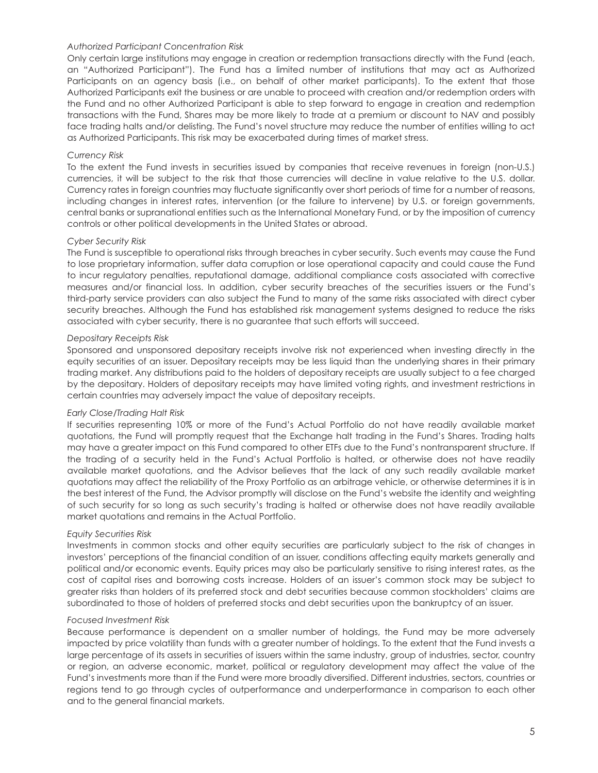#### *Authorized Participant Concentration Risk*

Only certain large institutions may engage in creation or redemption transactions directly with the Fund (each, an "Authorized Participant"). The Fund has a limited number of institutions that may act as Authorized Participants on an agency basis (i.e., on behalf of other market participants). To the extent that those Authorized Participants exit the business or are unable to proceed with creation and/or redemption orders with the Fund and no other Authorized Participant is able to step forward to engage in creation and redemption transactions with the Fund, Shares may be more likely to trade at a premium or discount to NAV and possibly face trading halts and/or delisting. The Fund's novel structure may reduce the number of entities willing to act as Authorized Participants. This risk may be exacerbated during times of market stress.

#### *Currency Risk*

To the extent the Fund invests in securities issued by companies that receive revenues in foreign (non-U.S.) currencies, it will be subject to the risk that those currencies will decline in value relative to the U.S. dollar. Currency rates in foreign countries may fluctuate significantly over short periods of time for a number of reasons, including changes in interest rates, intervention (or the failure to intervene) by U.S. or foreign governments, central banks or supranational entities such as the International Monetary Fund, or by the imposition of currency controls or other political developments in the United States or abroad.

#### *Cyber Security Risk*

The Fund is susceptible to operational risks through breaches in cyber security. Such events may cause the Fund to lose proprietary information, suffer data corruption or lose operational capacity and could cause the Fund to incur regulatory penalties, reputational damage, additional compliance costs associated with corrective measures and/or financial loss. In addition, cyber security breaches of the securities issuers or the Fund's third-party service providers can also subject the Fund to many of the same risks associated with direct cyber security breaches. Although the Fund has established risk management systems designed to reduce the risks associated with cyber security, there is no guarantee that such efforts will succeed.

#### *Depositary Receipts Risk*

Sponsored and unsponsored depositary receipts involve risk not experienced when investing directly in the equity securities of an issuer. Depositary receipts may be less liquid than the underlying shares in their primary trading market. Any distributions paid to the holders of depositary receipts are usually subject to a fee charged by the depositary. Holders of depositary receipts may have limited voting rights, and investment restrictions in certain countries may adversely impact the value of depositary receipts.

#### *Early Close/Trading Halt Risk*

If securities representing 10% or more of the Fund's Actual Portfolio do not have readily available market quotations, the Fund will promptly request that the Exchange halt trading in the Fund's Shares. Trading halts may have a greater impact on this Fund compared to other ETFs due to the Fund's nontransparent structure. If the trading of a security held in the Fund's Actual Portfolio is halted, or otherwise does not have readily available market quotations, and the Advisor believes that the lack of any such readily available market quotations may affect the reliability of the Proxy Portfolio as an arbitrage vehicle, or otherwise determines it is in the best interest of the Fund, the Advisor promptly will disclose on the Fund's website the identity and weighting of such security for so long as such security's trading is halted or otherwise does not have readily available market quotations and remains in the Actual Portfolio.

#### *Equity Securities Risk*

Investments in common stocks and other equity securities are particularly subject to the risk of changes in investors' perceptions of the financial condition of an issuer, conditions affecting equity markets generally and political and/or economic events. Equity prices may also be particularly sensitive to rising interest rates, as the cost of capital rises and borrowing costs increase. Holders of an issuer's common stock may be subject to greater risks than holders of its preferred stock and debt securities because common stockholders' claims are subordinated to those of holders of preferred stocks and debt securities upon the bankruptcy of an issuer.

#### *Focused Investment Risk*

Because performance is dependent on a smaller number of holdings, the Fund may be more adversely impacted by price volatility than funds with a greater number of holdings. To the extent that the Fund invests a large percentage of its assets in securities of issuers within the same industry, group of industries, sector, country or region, an adverse economic, market, political or regulatory development may affect the value of the Fund's investments more than if the Fund were more broadly diversified. Different industries, sectors, countries or regions tend to go through cycles of outperformance and underperformance in comparison to each other and to the general financial markets.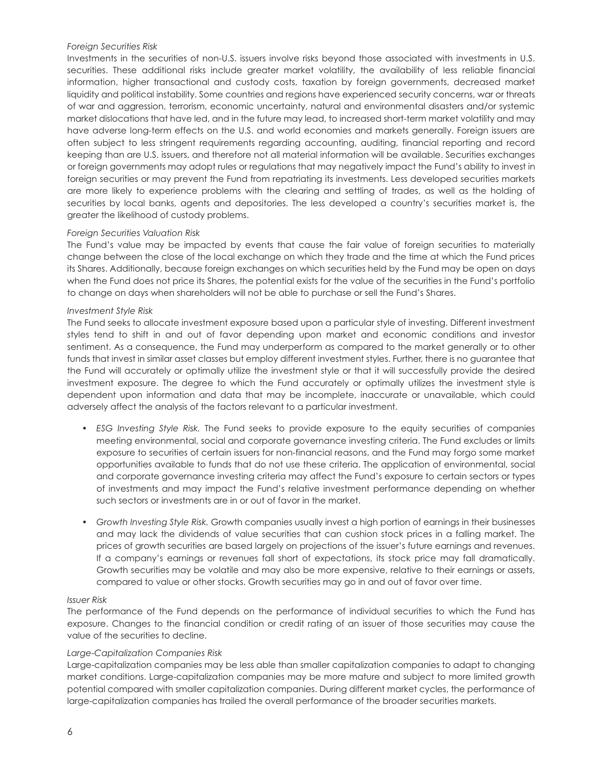#### *Foreign Securities Risk*

Investments in the securities of non-U.S. issuers involve risks beyond those associated with investments in U.S. securities. These additional risks include greater market volatility, the availability of less reliable financial information, higher transactional and custody costs, taxation by foreign governments, decreased market liquidity and political instability. Some countries and regions have experienced security concerns, war or threats of war and aggression, terrorism, economic uncertainty, natural and environmental disasters and/or systemic market dislocations that have led, and in the future may lead, to increased short-term market volatility and may have adverse long-term effects on the U.S. and world economies and markets generally. Foreign issuers are often subject to less stringent requirements regarding accounting, auditing, financial reporting and record keeping than are U.S. issuers, and therefore not all material information will be available. Securities exchanges or foreign governments may adopt rules or regulations that may negatively impact the Fund's ability to invest in foreign securities or may prevent the Fund from repatriating its investments. Less developed securities markets are more likely to experience problems with the clearing and settling of trades, as well as the holding of securities by local banks, agents and depositories. The less developed a country's securities market is, the greater the likelihood of custody problems.

#### *Foreign Securities Valuation Risk*

The Fund's value may be impacted by events that cause the fair value of foreign securities to materially change between the close of the local exchange on which they trade and the time at which the Fund prices its Shares. Additionally, because foreign exchanges on which securities held by the Fund may be open on days when the Fund does not price its Shares, the potential exists for the value of the securities in the Fund's portfolio to change on days when shareholders will not be able to purchase or sell the Fund's Shares.

#### *Investment Style Risk*

The Fund seeks to allocate investment exposure based upon a particular style of investing. Different investment styles tend to shift in and out of favor depending upon market and economic conditions and investor sentiment. As a consequence, the Fund may underperform as compared to the market generally or to other funds that invest in similar asset classes but employ different investment styles. Further, there is no guarantee that the Fund will accurately or optimally utilize the investment style or that it will successfully provide the desired investment exposure. The degree to which the Fund accurately or optimally utilizes the investment style is dependent upon information and data that may be incomplete, inaccurate or unavailable, which could adversely affect the analysis of the factors relevant to a particular investment.

- *ESG Investing Style Risk.* The Fund seeks to provide exposure to the equity securities of companies meeting environmental, social and corporate governance investing criteria. The Fund excludes or limits exposure to securities of certain issuers for non-financial reasons, and the Fund may forgo some market opportunities available to funds that do not use these criteria. The application of environmental, social and corporate governance investing criteria may affect the Fund's exposure to certain sectors or types of investments and may impact the Fund's relative investment performance depending on whether such sectors or investments are in or out of favor in the market.
- *Growth Investing Style Risk.* Growth companies usually invest a high portion of earnings in their businesses and may lack the dividends of value securities that can cushion stock prices in a falling market. The prices of growth securities are based largely on projections of the issuer's future earnings and revenues. If a company's earnings or revenues fall short of expectations, its stock price may fall dramatically. Growth securities may be volatile and may also be more expensive, relative to their earnings or assets, compared to value or other stocks. Growth securities may go in and out of favor over time.

#### *Issuer Risk*

The performance of the Fund depends on the performance of individual securities to which the Fund has exposure. Changes to the financial condition or credit rating of an issuer of those securities may cause the value of the securities to decline.

#### *Large-Capitalization Companies Risk*

Large-capitalization companies may be less able than smaller capitalization companies to adapt to changing market conditions. Large-capitalization companies may be more mature and subject to more limited growth potential compared with smaller capitalization companies. During different market cycles, the performance of large-capitalization companies has trailed the overall performance of the broader securities markets.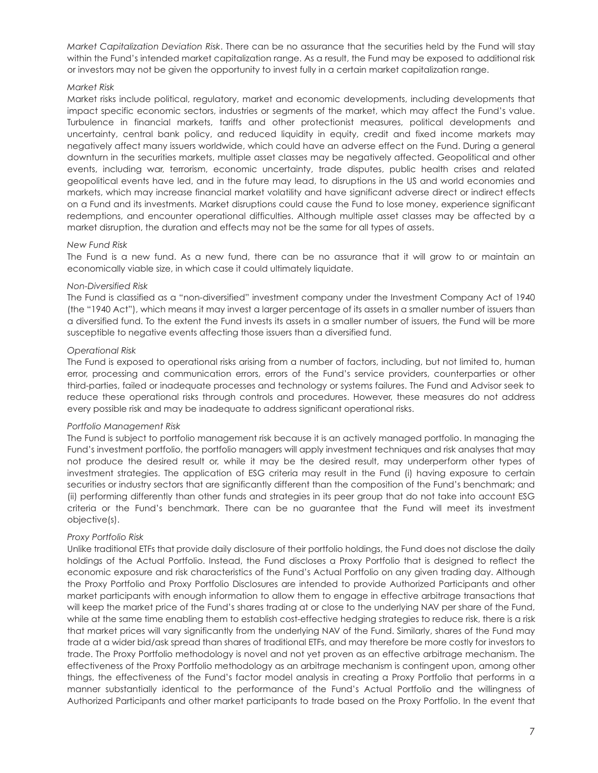*Market Capitalization Deviation Risk*. There can be no assurance that the securities held by the Fund will stay within the Fund's intended market capitalization range. As a result, the Fund may be exposed to additional risk or investors may not be given the opportunity to invest fully in a certain market capitalization range.

#### *Market Risk*

Market risks include political, regulatory, market and economic developments, including developments that impact specific economic sectors, industries or segments of the market, which may affect the Fund's value. Turbulence in financial markets, tariffs and other protectionist measures, political developments and uncertainty, central bank policy, and reduced liquidity in equity, credit and fixed income markets may negatively affect many issuers worldwide, which could have an adverse effect on the Fund. During a general downturn in the securities markets, multiple asset classes may be negatively affected. Geopolitical and other events, including war, terrorism, economic uncertainty, trade disputes, public health crises and related geopolitical events have led, and in the future may lead, to disruptions in the US and world economies and markets, which may increase financial market volatility and have significant adverse direct or indirect effects on a Fund and its investments. Market disruptions could cause the Fund to lose money, experience significant redemptions, and encounter operational difficulties. Although multiple asset classes may be affected by a market disruption, the duration and effects may not be the same for all types of assets.

#### *New Fund Risk*

The Fund is a new fund. As a new fund, there can be no assurance that it will grow to or maintain an economically viable size, in which case it could ultimately liquidate.

#### *Non-Diversified Risk*

The Fund is classified as a "non-diversified" investment company under the Investment Company Act of 1940 (the "1940 Act"), which means it may invest a larger percentage of its assets in a smaller number of issuers than a diversified fund. To the extent the Fund invests its assets in a smaller number of issuers, the Fund will be more susceptible to negative events affecting those issuers than a diversified fund.

#### *Operational Risk*

The Fund is exposed to operational risks arising from a number of factors, including, but not limited to, human error, processing and communication errors, errors of the Fund's service providers, counterparties or other third-parties, failed or inadequate processes and technology or systems failures. The Fund and Advisor seek to reduce these operational risks through controls and procedures. However, these measures do not address every possible risk and may be inadequate to address significant operational risks.

#### *Portfolio Management Risk*

The Fund is subject to portfolio management risk because it is an actively managed portfolio. In managing the Fund's investment portfolio, the portfolio managers will apply investment techniques and risk analyses that may not produce the desired result or, while it may be the desired result, may underperform other types of investment strategies. The application of ESG criteria may result in the Fund (i) having exposure to certain securities or industry sectors that are significantly different than the composition of the Fund's benchmark; and (ii) performing differently than other funds and strategies in its peer group that do not take into account ESG criteria or the Fund's benchmark. There can be no guarantee that the Fund will meet its investment objective(s).

#### *Proxy Portfolio Risk*

Unlike traditional ETFs that provide daily disclosure of their portfolio holdings, the Fund does not disclose the daily holdings of the Actual Portfolio. Instead, the Fund discloses a Proxy Portfolio that is designed to reflect the economic exposure and risk characteristics of the Fund's Actual Portfolio on any given trading day. Although the Proxy Portfolio and Proxy Portfolio Disclosures are intended to provide Authorized Participants and other market participants with enough information to allow them to engage in effective arbitrage transactions that will keep the market price of the Fund's shares trading at or close to the underlying NAV per share of the Fund, while at the same time enabling them to establish cost-effective hedging strategies to reduce risk, there is a risk that market prices will vary significantly from the underlying NAV of the Fund. Similarly, shares of the Fund may trade at a wider bid/ask spread than shares of traditional ETFs, and may therefore be more costly for investors to trade. The Proxy Portfolio methodology is novel and not yet proven as an effective arbitrage mechanism. The effectiveness of the Proxy Portfolio methodology as an arbitrage mechanism is contingent upon, among other things, the effectiveness of the Fund's factor model analysis in creating a Proxy Portfolio that performs in a manner substantially identical to the performance of the Fund's Actual Portfolio and the willingness of Authorized Participants and other market participants to trade based on the Proxy Portfolio. In the event that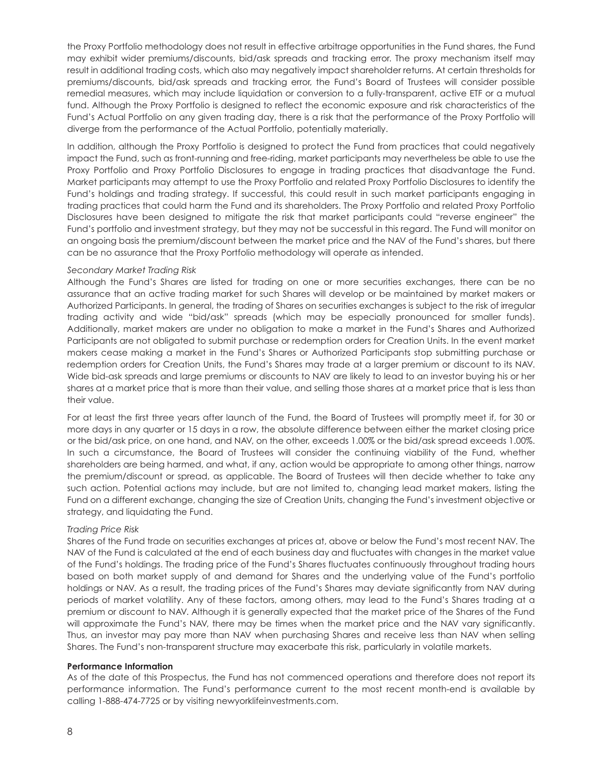the Proxy Portfolio methodology does not result in effective arbitrage opportunities in the Fund shares, the Fund may exhibit wider premiums/discounts, bid/ask spreads and tracking error. The proxy mechanism itself may result in additional trading costs, which also may negatively impact shareholder returns. At certain thresholds for premiums/discounts, bid/ask spreads and tracking error, the Fund's Board of Trustees will consider possible remedial measures, which may include liquidation or conversion to a fully-transparent, active ETF or a mutual fund. Although the Proxy Portfolio is designed to reflect the economic exposure and risk characteristics of the Fund's Actual Portfolio on any given trading day, there is a risk that the performance of the Proxy Portfolio will diverge from the performance of the Actual Portfolio, potentially materially.

In addition, although the Proxy Portfolio is designed to protect the Fund from practices that could negatively impact the Fund, such as front-running and free-riding, market participants may nevertheless be able to use the Proxy Portfolio and Proxy Portfolio Disclosures to engage in trading practices that disadvantage the Fund. Market participants may attempt to use the Proxy Portfolio and related Proxy Portfolio Disclosures to identify the Fund's holdings and trading strategy. If successful, this could result in such market participants engaging in trading practices that could harm the Fund and its shareholders. The Proxy Portfolio and related Proxy Portfolio Disclosures have been designed to mitigate the risk that market participants could "reverse engineer" the Fund's portfolio and investment strategy, but they may not be successful in this regard. The Fund will monitor on an ongoing basis the premium/discount between the market price and the NAV of the Fund's shares, but there can be no assurance that the Proxy Portfolio methodology will operate as intended.

#### *Secondary Market Trading Risk*

Although the Fund's Shares are listed for trading on one or more securities exchanges, there can be no assurance that an active trading market for such Shares will develop or be maintained by market makers or Authorized Participants. In general, the trading of Shares on securities exchanges is subject to the risk of irregular trading activity and wide "bid/ask" spreads (which may be especially pronounced for smaller funds). Additionally, market makers are under no obligation to make a market in the Fund's Shares and Authorized Participants are not obligated to submit purchase or redemption orders for Creation Units. In the event market makers cease making a market in the Fund's Shares or Authorized Participants stop submitting purchase or redemption orders for Creation Units, the Fund's Shares may trade at a larger premium or discount to its NAV. Wide bid-ask spreads and large premiums or discounts to NAV are likely to lead to an investor buying his or her shares at a market price that is more than their value, and selling those shares at a market price that is less than their value.

For at least the first three years after launch of the Fund, the Board of Trustees will promptly meet if, for 30 or more days in any quarter or 15 days in a row, the absolute difference between either the market closing price or the bid/ask price, on one hand, and NAV, on the other, exceeds 1.00% or the bid/ask spread exceeds 1.00%. In such a circumstance, the Board of Trustees will consider the continuing viability of the Fund, whether shareholders are being harmed, and what, if any, action would be appropriate to among other things, narrow the premium/discount or spread, as applicable. The Board of Trustees will then decide whether to take any such action. Potential actions may include, but are not limited to, changing lead market makers, listing the Fund on a different exchange, changing the size of Creation Units, changing the Fund's investment objective or strategy, and liquidating the Fund.

#### *Trading Price Risk*

Shares of the Fund trade on securities exchanges at prices at, above or below the Fund's most recent NAV. The NAV of the Fund is calculated at the end of each business day and fluctuates with changes in the market value of the Fund's holdings. The trading price of the Fund's Shares fluctuates continuously throughout trading hours based on both market supply of and demand for Shares and the underlying value of the Fund's portfolio holdings or NAV. As a result, the trading prices of the Fund's Shares may deviate significantly from NAV during periods of market volatility. Any of these factors, among others, may lead to the Fund's Shares trading at a premium or discount to NAV. Although it is generally expected that the market price of the Shares of the Fund will approximate the Fund's NAV, there may be times when the market price and the NAV vary significantly. Thus, an investor may pay more than NAV when purchasing Shares and receive less than NAV when selling Shares. The Fund's non-transparent structure may exacerbate this risk, particularly in volatile markets.

#### **Performance Information**

As of the date of this Prospectus, the Fund has not commenced operations and therefore does not report its performance information. The Fund's performance current to the most recent month-end is available by calling 1-888-474-7725 or by visiting newyorklifeinvestments.com.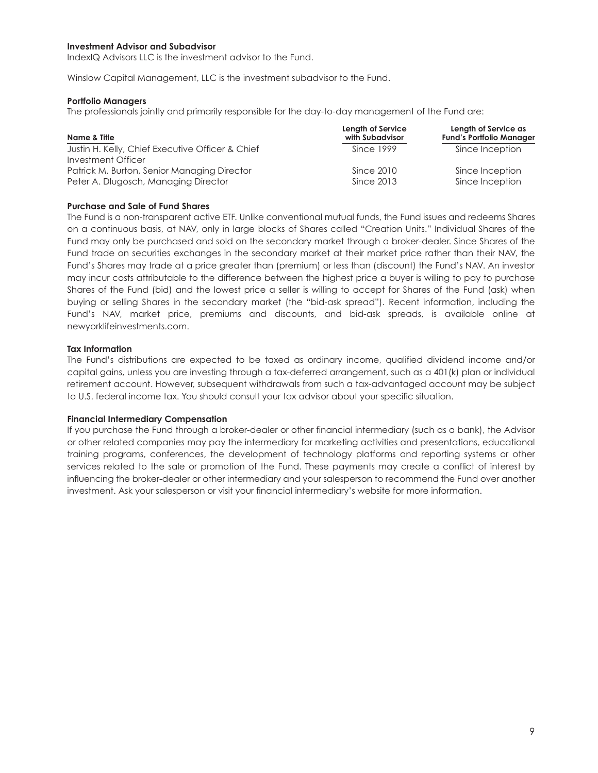#### **Investment Advisor and Subadvisor**

IndexIQ Advisors LLC is the investment advisor to the Fund.

Winslow Capital Management, LLC is the investment subadvisor to the Fund.

#### **Portfolio Managers**

The professionals jointly and primarily responsible for the day-to-day management of the Fund are:

| Name & Title                                     | <b>Length of Service</b><br>with Subadvisor | Length of Service as<br><b>Fund's Portfolio Manager</b> |
|--------------------------------------------------|---------------------------------------------|---------------------------------------------------------|
| Justin H. Kelly, Chief Executive Officer & Chief | Since 1999                                  | Since Inception                                         |
| Investment Officer                               |                                             |                                                         |
| Patrick M. Burton, Senior Managing Director      | Since 2010                                  | Since Inception                                         |
| Peter A. Dlugosch, Managing Director             | Since 2013                                  | Since Inception                                         |

#### **Purchase and Sale of Fund Shares**

The Fund is a non-transparent active ETF. Unlike conventional mutual funds, the Fund issues and redeems Shares on a continuous basis, at NAV, only in large blocks of Shares called "Creation Units." Individual Shares of the Fund may only be purchased and sold on the secondary market through a broker-dealer. Since Shares of the Fund trade on securities exchanges in the secondary market at their market price rather than their NAV, the Fund's Shares may trade at a price greater than (premium) or less than (discount) the Fund's NAV. An investor may incur costs attributable to the difference between the highest price a buyer is willing to pay to purchase Shares of the Fund (bid) and the lowest price a seller is willing to accept for Shares of the Fund (ask) when buying or selling Shares in the secondary market (the "bid-ask spread"). Recent information, including the Fund's NAV, market price, premiums and discounts, and bid-ask spreads, is available online at newyorklifeinvestments.com.

#### **Tax Information**

The Fund's distributions are expected to be taxed as ordinary income, qualified dividend income and/or capital gains, unless you are investing through a tax-deferred arrangement, such as a 401(k) plan or individual retirement account. However, subsequent withdrawals from such a tax-advantaged account may be subject to U.S. federal income tax. You should consult your tax advisor about your specific situation.

#### **Financial Intermediary Compensation**

If you purchase the Fund through a broker-dealer or other financial intermediary (such as a bank), the Advisor or other related companies may pay the intermediary for marketing activities and presentations, educational training programs, conferences, the development of technology platforms and reporting systems or other services related to the sale or promotion of the Fund. These payments may create a conflict of interest by influencing the broker-dealer or other intermediary and your salesperson to recommend the Fund over another investment. Ask your salesperson or visit your financial intermediary's website for more information.